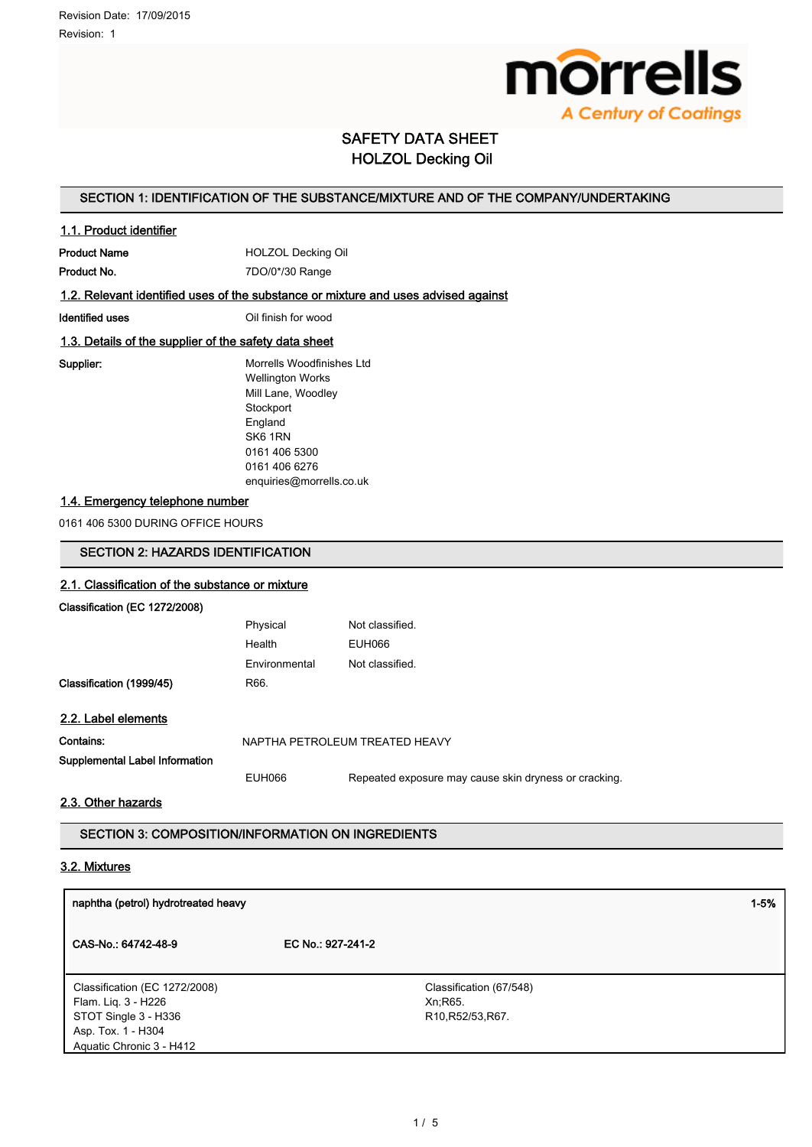

# SAFETY DATA SHEET HOLZOL Decking Oil

### SECTION 1: IDENTIFICATION OF THE SUBSTANCE/MIXTURE AND OF THE COMPANY/UNDERTAKING

### 1.1. Product identifier

Product Name **HOLZOL Decking Oil** Product No. 2000 7DO/0\*/30 Range

### 1.2. Relevant identified uses of the substance or mixture and uses advised against

Identified uses **IDENTIFIED CONTACT CONTACT CONTACT CONTACT CONTACT CONTACT CONTACT CONTACT CONTACT CONTACT CONTACT CONTACT CONTACT CONTACT CONTACT CONTACT CONTACT CONTACT CONTACT CONTACT CONTACT CONTACT CONTACT CONTACT CO** 

### 1.3. Details of the supplier of the safety data sheet

Supplier: Morrells Woodfinishes Ltd Wellington Works Mill Lane, Woodley **Stockport** England SK6 1RN 0161 406 5300 0161 406 6276

enquiries@morrells.co.uk

### 1.4. Emergency telephone number

0161 406 5300 DURING OFFICE HOURS

### SECTION 2: HAZARDS IDENTIFICATION

### 2.1. Classification of the substance or mixture

Classification (EC 1272/2008)

| Physical      | Not classified |
|---------------|----------------|
| Health        | EUH066         |
| Environmental | Not classified |
| R66.          |                |
|               |                |

### 2.2. Label elements

Classification (1999/45)

| Contains:                      | NAPTHA PETROLEUM TREATED HEAVY |                                                       |  |
|--------------------------------|--------------------------------|-------------------------------------------------------|--|
| Supplemental Label Information |                                |                                                       |  |
|                                | EUH066                         | Repeated exposure may cause skin dryness or cracking. |  |

### 2.3. Other hazards

SECTION 3: COMPOSITION/INFORMATION ON INGREDIENTS

### 3.2. Mixtures

| naphtha (petrol) hydrotreated heavy |                                                          | $1 - 5%$ |
|-------------------------------------|----------------------------------------------------------|----------|
| CAS-No.: 64742-48-9                 | EC No.: 927-241-2                                        |          |
| Classification (EC 1272/2008)       | Classification (67/548)                                  |          |
| Flam. Lig. 3 - H226                 | Xn; R65.                                                 |          |
| STOT Single 3 - H336                | R <sub>10</sub> , R <sub>52</sub> /53, R <sub>67</sub> . |          |
| Asp. Tox. 1 - H304                  |                                                          |          |
| Aquatic Chronic 3 - H412            |                                                          |          |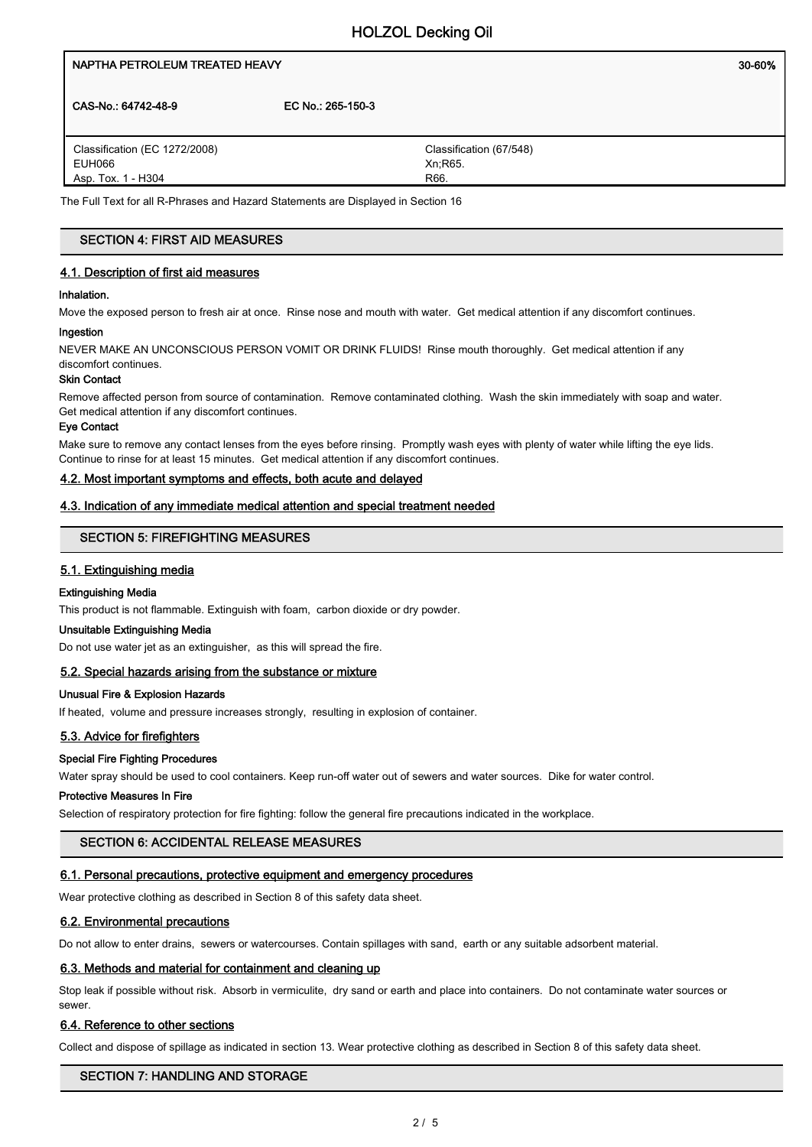# NAPTHA PETROLEUM TREATED HEAVY NAMES AND THE SERVICE OF SOME SOLE OF SALES AND THE SOLE OF SOLE OF SOLE OF SOLE CAS-No.: 64742-48-9 EC No.: 265-150-3 Classification (67/548) Classification (EC 1272/2008)

EUH066 Asp. Tox. 1 - H304 Xn;R65. R66.

The Full Text for all R-Phrases and Hazard Statements are Displayed in Section 16

### SECTION 4: FIRST AID MEASURES

### 4.1. Description of first aid measures

### Inhalation.

Move the exposed person to fresh air at once. Rinse nose and mouth with water. Get medical attention if any discomfort continues.

### Ingestion

NEVER MAKE AN UNCONSCIOUS PERSON VOMIT OR DRINK FLUIDS! Rinse mouth thoroughly. Get medical attention if any discomfort continues.

### Skin Contact

Remove affected person from source of contamination. Remove contaminated clothing. Wash the skin immediately with soap and water. Get medical attention if any discomfort continues.

#### Eye Contact

Make sure to remove any contact lenses from the eyes before rinsing. Promptly wash eyes with plenty of water while lifting the eye lids. Continue to rinse for at least 15 minutes. Get medical attention if any discomfort continues.

### 4.2. Most important symptoms and effects, both acute and delayed

### 4.3. Indication of any immediate medical attention and special treatment needed

### SECTION 5: FIREFIGHTING MEASURES

### 5.1. Extinguishing media

### Extinguishing Media

This product is not flammable. Extinguish with foam, carbon dioxide or dry powder.

#### Unsuitable Extinguishing Media

Do not use water jet as an extinguisher, as this will spread the fire.

### 5.2. Special hazards arising from the substance or mixture

### Unusual Fire & Explosion Hazards

If heated, volume and pressure increases strongly, resulting in explosion of container.

### 5.3. Advice for firefighters

### Special Fire Fighting Procedures

Water spray should be used to cool containers. Keep run-off water out of sewers and water sources. Dike for water control.

#### Protective Measures In Fire

Selection of respiratory protection for fire fighting: follow the general fire precautions indicated in the workplace.

### SECTION 6: ACCIDENTAL RELEASE MEASURES

### 6.1. Personal precautions, protective equipment and emergency procedures

Wear protective clothing as described in Section 8 of this safety data sheet.

### 6.2. Environmental precautions

Do not allow to enter drains, sewers or watercourses. Contain spillages with sand, earth or any suitable adsorbent material.

### 6.3. Methods and material for containment and cleaning up

Stop leak if possible without risk. Absorb in vermiculite, dry sand or earth and place into containers. Do not contaminate water sources or sewer.

### 6.4. Reference to other sections

Collect and dispose of spillage as indicated in section 13. Wear protective clothing as described in Section 8 of this safety data sheet.

### SECTION 7: HANDLING AND STORAGE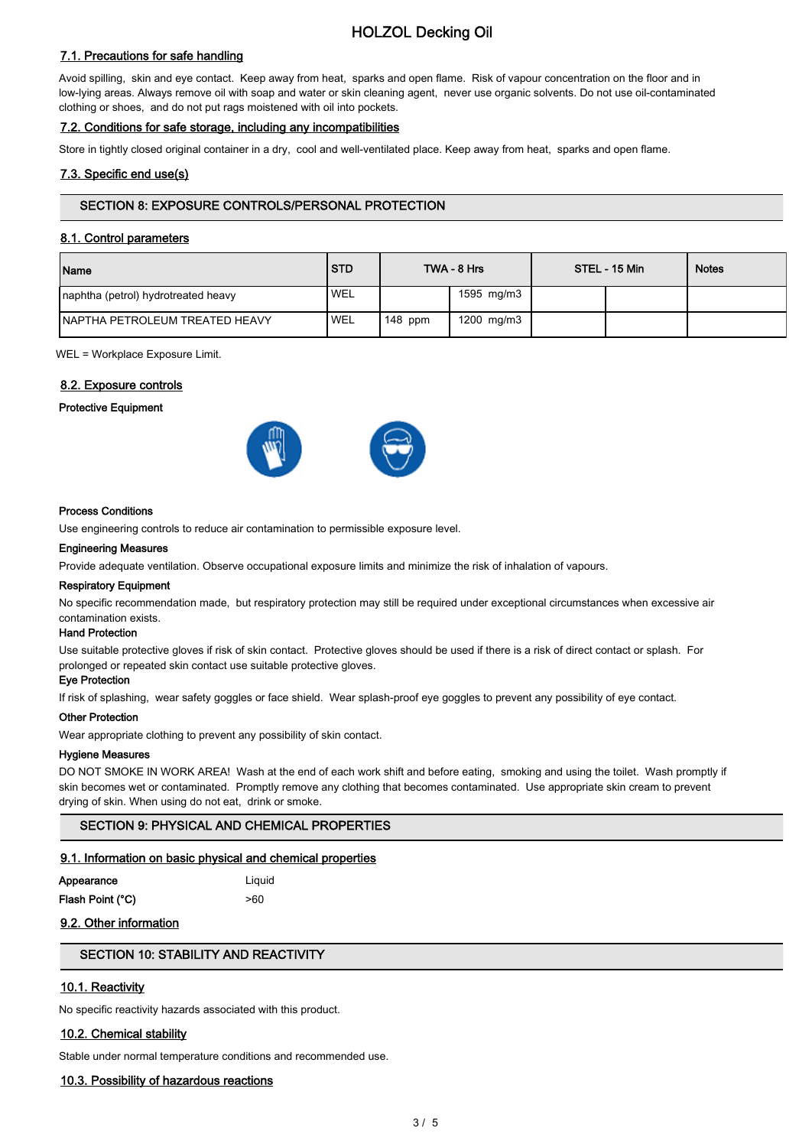# HOLZOL Decking Oil

### 7.1. Precautions for safe handling

Avoid spilling, skin and eye contact. Keep away from heat, sparks and open flame. Risk of vapour concentration on the floor and in low-lying areas. Always remove oil with soap and water or skin cleaning agent, never use organic solvents. Do not use oil-contaminated clothing or shoes, and do not put rags moistened with oil into pockets.

### 7.2. Conditions for safe storage, including any incompatibilities

Store in tightly closed original container in a dry, cool and well-ventilated place. Keep away from heat, sparks and open flame.

### 7.3. Specific end use(s)

### SECTION 8: EXPOSURE CONTROLS/PERSONAL PROTECTION

### 8.1. Control parameters

| Name                                   | <b>STD</b> |           | TWA - 8 Hrs | STEL - 15 Min | <b>Notes</b> |
|----------------------------------------|------------|-----------|-------------|---------------|--------------|
| Inaphtha (petrol) hydrotreated heavy   | ' WEL      |           | 1595 mg/m3  |               |              |
| <b>INAPTHA PETROLEUM TREATED HEAVY</b> | 'WEL       | $148$ ppm | 1200 mg/m3  |               |              |

WEL = Workplace Exposure Limit.

### 8.2. Exposure controls

#### Protective Equipment





#### Process Conditions

Use engineering controls to reduce air contamination to permissible exposure level.

#### Engineering Measures

Provide adequate ventilation. Observe occupational exposure limits and minimize the risk of inhalation of vapours.

### Respiratory Equipment

No specific recommendation made, but respiratory protection may still be required under exceptional circumstances when excessive air contamination exists.

### Hand Protection

Use suitable protective gloves if risk of skin contact. Protective gloves should be used if there is a risk of direct contact or splash. For prolonged or repeated skin contact use suitable protective gloves.

#### Eye Protection

If risk of splashing, wear safety goggles or face shield. Wear splash-proof eye goggles to prevent any possibility of eye contact.

#### Other Protection

Wear appropriate clothing to prevent any possibility of skin contact.

### Hygiene Measures

DO NOT SMOKE IN WORK AREA! Wash at the end of each work shift and before eating, smoking and using the toilet. Wash promptly if skin becomes wet or contaminated. Promptly remove any clothing that becomes contaminated. Use appropriate skin cream to prevent drying of skin. When using do not eat, drink or smoke.

### SECTION 9: PHYSICAL AND CHEMICAL PROPERTIES

### 9.1. Information on basic physical and chemical properties

| Appearance       | Liguid |
|------------------|--------|
| Flash Point (°C) | >60    |

### 9.2. Other information

### SECTION 10: STABILITY AND REACTIVITY

### 10.1. Reactivity

No specific reactivity hazards associated with this product.

### 10.2. Chemical stability

Stable under normal temperature conditions and recommended use.

#### 10.3. Possibility of hazardous reactions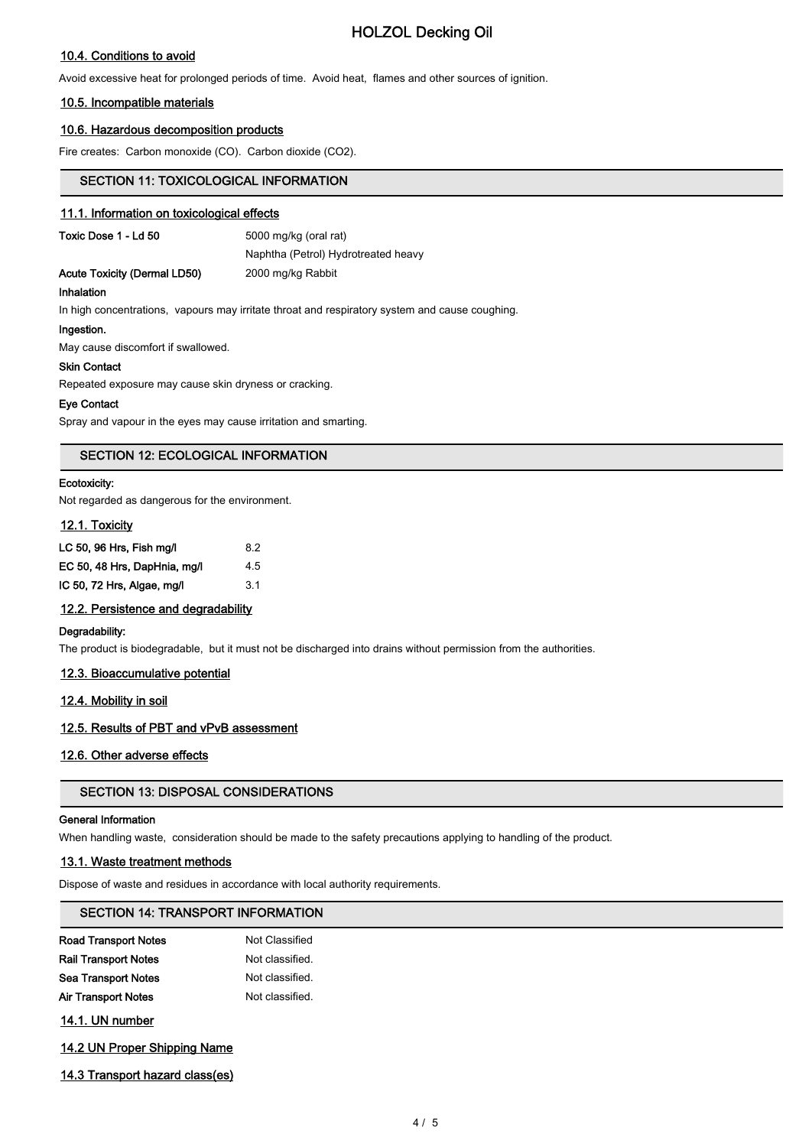# HOLZOL Decking Oil

### 10.4. Conditions to avoid

Avoid excessive heat for prolonged periods of time. Avoid heat, flames and other sources of ignition.

### 10.5. Incompatible materials

### 10.6. Hazardous decomposition products

Fire creates: Carbon monoxide (CO). Carbon dioxide (CO2).

### SECTION 11: TOXICOLOGICAL INFORMATION

### 11.1. Information on toxicological effects

| 5000 mg/kg (oral rat) |  |
|-----------------------|--|
|                       |  |

| Acute Toxicity (Dermal LD50) |  |  |
|------------------------------|--|--|

Naphtha (Petrol) Hydrotreated heavy 2000 mg/kg Rabbit

### Inhalation

In high concentrations, vapours may irritate throat and respiratory system and cause coughing.

#### Ingestion.

May cause discomfort if swallowed.

#### Skin Contact

Repeated exposure may cause skin dryness or cracking.

#### Eye Contact

Spray and vapour in the eyes may cause irritation and smarting.

### SECTION 12: ECOLOGICAL INFORMATION

#### Ecotoxicity:

Not regarded as dangerous for the environment.

### 12.1. Toxicity

| LC 50, 96 Hrs, Fish mg/l     | 8.2 |
|------------------------------|-----|
| EC 50, 48 Hrs, DapHnia, mg/l | 4.5 |
| IC 50, 72 Hrs, Algae, mg/l   | 3.1 |

### 12.2. Persistence and degradability

### Degradability:

The product is biodegradable, but it must not be discharged into drains without permission from the authorities.

### 12.3. Bioaccumulative potential

### 12.4. Mobility in soil

### 12.5. Results of PBT and vPvB assessment

### 12.6. Other adverse effects

### SECTION 13: DISPOSAL CONSIDERATIONS

#### General Information

When handling waste, consideration should be made to the safety precautions applying to handling of the product.

### 13.1. Waste treatment methods

Dispose of waste and residues in accordance with local authority requirements.

### SECTION 14: TRANSPORT INFORMATION

| <b>Road Transport Notes</b> | Not Classified  |
|-----------------------------|-----------------|
| <b>Rail Transport Notes</b> | Not classified. |
| <b>Sea Transport Notes</b>  | Not classified. |
| Air Transport Notes         | Not classified. |
|                             |                 |

14.1. UN number

- 14.2 UN Proper Shipping Name
- 14.3 Transport hazard class(es)